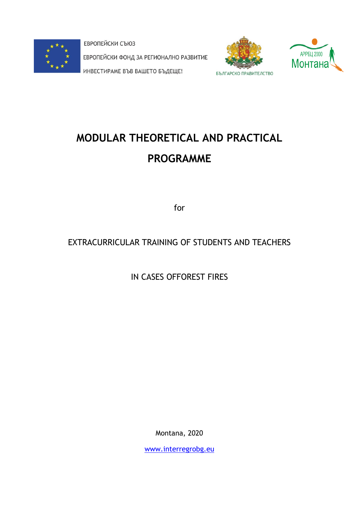

ЕВРОПЕЙСКИ СЪЮЗ ЕВРОПЕЙСКИ ФОНД ЗА РЕГИОНАЛНО РАЗВИТИЕ ИНВЕСТИРАМЕ ВЪВ ВАШЕТО БЪДЕЩЕ!





# **MODULAR THEORETICAL AND PRACTICAL PROGRAMME**

for

# EXTRACURRICULAR TRAINING OF STUDENTS AND TEACHERS

IN CASES OFFOREST FIRES

Montana, 2020

[www.interregrobg.eu](http://www.interregrobg.eu/)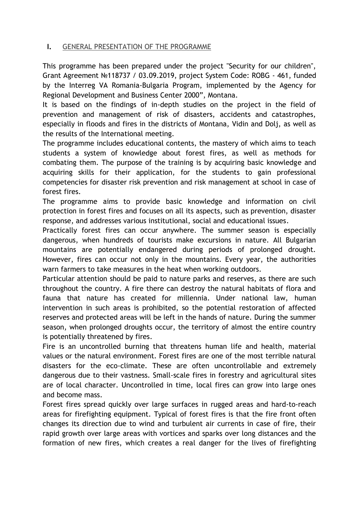# **I.** GENERAL PRESENTATION OF THE PROGRAMME

This programme has been prepared under the project "Security for our children", Grant Agreement №118737 / 03.09.2019, project System Code: ROBG - 461, funded by the Interreg VA Romania-Bulgaria Program, implemented by the Agency for Regional Development and Business Center 2000", Montana.

It is based on the findings of in-depth studies on the project in the field of prevention and management of risk of disasters, accidents and catastrophes, especially in floods and fires in the districts of Montana, Vidin and Dolj, as well as the results of the International meeting.

The programme includes educational contents, the mastery of which aims to teach students a system of knowledge about forest fires, as well as methods for combating them. The purpose of the training is by acquiring basic knowledge and acquiring skills for their application, for the students to gain professional competencies for disaster risk prevention and risk management at school in case of forest fires.

The programme aims to provide basic knowledge and information on civil protection in forest fires and focuses on all its aspects, such as prevention, disaster response, and addresses various institutional, social and educational issues.

Practically forest fires can occur anywhere. The summer season is especially dangerous, when hundreds of tourists make excursions in nature. All Bulgarian mountains are potentially endangered during periods of prolonged drought. However, fires can occur not only in the mountains. Every year, the authorities warn farmers to take measures in the heat when working outdoors.

Particular attention should be paid to nature parks and reserves, as there are such throughout the country. A fire there can destroy the natural habitats of flora and fauna that nature has created for millennia. Under national law, human intervention in such areas is prohibited, so the potential restoration of affected reserves and protected areas will be left in the hands of nature. During the summer season, when prolonged droughts occur, the territory of almost the entire country is potentially threatened by fires.

Fire is an uncontrolled burning that threatens human life and health, material values or the natural environment. Forest fires are one of the most terrible natural disasters for the eco-climate. These are often uncontrollable and extremely dangerous due to their vastness. Small-scale fires in forestry and agricultural sites are of local character. Uncontrolled in time, local fires can grow into large ones and become mass.

Forest fires spread quickly over large surfaces in rugged areas and hard-to-reach areas for firefighting equipment. Typical of forest fires is that the fire front often changes its direction due to wind and turbulent air currents in case of fire, their rapid growth over large areas with vortices and sparks over long distances and the formation of new fires, which creates a real danger for the lives of firefighting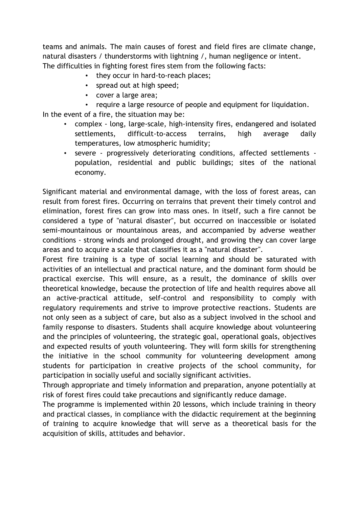teams and animals. The main causes of forest and field fires are climate change, natural disasters / thunderstorms with lightning /, human negligence or intent. The difficulties in fighting forest fires stem from the following facts:

- they occur in hard-to-reach places;
- spread out at high speed;
- cover a large area;

require a large resource of people and equipment for liquidation.

In the event of a fire, the situation may be:

- complex long, large-scale, high-intensity fires, endangered and isolated settlements, difficult-to-access terrains, high average daily temperatures, low atmospheric humidity;
- severe progressively deteriorating conditions, affected settlements population, residential and public buildings; sites of the national economy.

Significant material and environmental damage, with the loss of forest areas, can result from forest fires. Occurring on terrains that prevent their timely control and elimination, forest fires can grow into mass ones. In itself, such a fire cannot be considered a type of "natural disaster", but occurred on inaccessible or isolated semi-mountainous or mountainous areas, and accompanied by adverse weather conditions - strong winds and prolonged drought, and growing they can cover large areas and to acquire a scale that classifies it as a "natural disaster".

Forest fire training is a type of social learning and should be saturated with activities of an intellectual and practical nature, and the dominant form should be practical exercise. This will ensure, as a result, the dominance of skills over theoretical knowledge, because the protection of life and health requires above all an active-practical attitude, self-control and responsibility to comply with regulatory requirements and strive to improve protective reactions. Students are not only seen as a subject of care, but also as a subject involved in the school and family response to disasters. Students shall acquire knowledge about volunteering and the principles of volunteering, the strategic goal, operational goals, objectives and expected results of youth volunteering. They will form skills for strengthening the initiative in the school community for volunteering development among students for participation in creative projects of the school community, for participation in socially useful and socially significant activities.

Through appropriate and timely information and preparation, anyone potentially at risk of forest fires could take precautions and significantly reduce damage.

The programme is implemented within 20 lessons, which include training in theory and practical classes, in compliance with the didactic requirement at the beginning of training to acquire knowledge that will serve as a theoretical basis for the acquisition of skills, attitudes and behavior.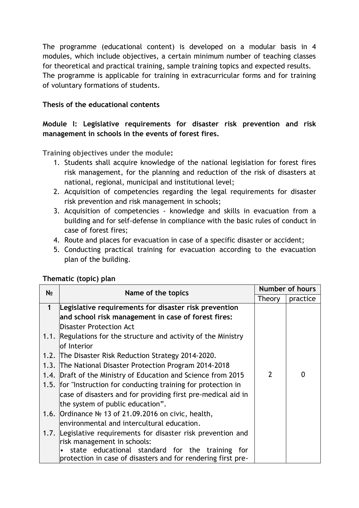The programme (educational content) is developed on a modular basis in 4 modules, which include objectives, a certain minimum number of teaching classes for theoretical and practical training, sample training topics and expected results. The programme is applicable for training in extracurricular forms and for training of voluntary formations of students.

# **Thesis of the educational contents**

# **Module І: Legislative requirements for disaster risk prevention and risk management in schools in the events of forest fires.**

**Training objectives under the module:**

- 1. Students shall acquire knowledge of the national legislation for forest fires risk management, for the planning and reduction of the risk of disasters at national, regional, municipal and institutional level;
- 2. Acquisition of competencies regarding the legal requirements for disaster risk prevention and risk management in schools;
- 3. Acquisition of competencies knowledge and skills in evacuation from a building and for self-defense in compliance with the basic rules of conduct in case of forest fires;
- 4. Route and places for evacuation in case of a specific disaster or accident;
- 5. Conducting practical training for evacuation according to the evacuation plan of the building.

| N <sub>2</sub> | Name of the topics                                              | <b>Number of hours</b> |   |
|----------------|-----------------------------------------------------------------|------------------------|---|
|                |                                                                 | practice<br>Theory     |   |
| $\mathbf 1$    | Legislative requirements for disaster risk prevention           |                        |   |
|                | and school risk management in case of forest fires:             |                        |   |
|                | <b>Disaster Protection Act</b>                                  |                        |   |
|                | 1.1. Regulations for the structure and activity of the Ministry |                        |   |
|                | lof Interior                                                    |                        |   |
|                | 1.2. The Disaster Risk Reduction Strategy 2014-2020.            |                        |   |
|                | 1.3. The National Disaster Protection Program 2014-2018         |                        |   |
|                | 1.4. Draft of the Ministry of Education and Science from 2015   | $\overline{2}$         | 0 |
|                | 1.5. for "Instruction for conducting training for protection in |                        |   |
|                | case of disasters and for providing first pre-medical aid in    |                        |   |
|                | the system of public education".                                |                        |   |
|                | 1.6. Ordinance № 13 of 21.09.2016 on civic, health,             |                        |   |
|                | environmental and intercultural education.                      |                        |   |
|                | 1.7. Legislative requirements for disaster risk prevention and  |                        |   |
|                | risk management in schools:                                     |                        |   |
|                | state educational standard for the training for                 |                        |   |
|                | protection in case of disasters and for rendering first pre-    |                        |   |

# **Thematic (topic) plan**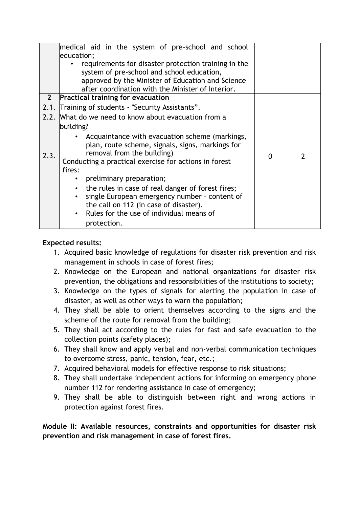|             | medical aid in the system of pre-school and school<br>education;                                                                   |   |                |
|-------------|------------------------------------------------------------------------------------------------------------------------------------|---|----------------|
|             | requirements for disaster protection training in the                                                                               |   |                |
|             | system of pre-school and school education,                                                                                         |   |                |
|             | approved by the Minister of Education and Science                                                                                  |   |                |
|             | after coordination with the Minister of Interior.                                                                                  |   |                |
| $2^{\circ}$ | <b>Practical training for evacuation</b>                                                                                           |   |                |
|             | 2.1. Training of students - "Security Assistants".                                                                                 |   |                |
|             | 2.2. What do we need to know about evacuation from a                                                                               |   |                |
|             | building?                                                                                                                          |   |                |
| 2.3.        | • Acquaintance with evacuation scheme (markings,<br>plan, route scheme, signals, signs, markings for<br>removal from the building) | 0 | $\mathfrak{p}$ |
|             | Conducting a practical exercise for actions in forest                                                                              |   |                |
|             | fires:                                                                                                                             |   |                |
|             | preliminary preparation;                                                                                                           |   |                |
|             | the rules in case of real danger of forest fires;<br>$\bullet$                                                                     |   |                |
|             | single European emergency number - content of                                                                                      |   |                |
|             | the call on 112 (in case of disaster).<br>Rules for the use of individual means of                                                 |   |                |
|             |                                                                                                                                    |   |                |
|             | protection.                                                                                                                        |   |                |

- 1. Acquired basic knowledge of regulations for disaster risk prevention and risk management in schools in case of forest fires;
- 2. Knowledge on the European and national organizations for disaster risk prevention, the obligations and responsibilities of the institutions to society;
- 3. Knowledge on the types of signals for alerting the population in case of disaster, as well as other ways to warn the population;
- 4. They shall be able to orient themselves according to the signs and the scheme of the route for removal from the building;
- 5. They shall act according to the rules for fast and safe evacuation to the collection points (safety places);
- 6. They shall know and apply verbal and non-verbal communication techniques to overcome stress, panic, tension, fear, etc.;
- 7. Acquired behavioral models for effective response to risk situations;
- 8. They shall undertake independent actions for informing on emergency phone number 112 for rendering assistance in case of emergency;
- 9. They shall be able to distinguish between right and wrong actions in protection against forest fires.

**Module IІ: Available resources, constraints and opportunities for disaster risk prevention and risk management in case of forest fires.**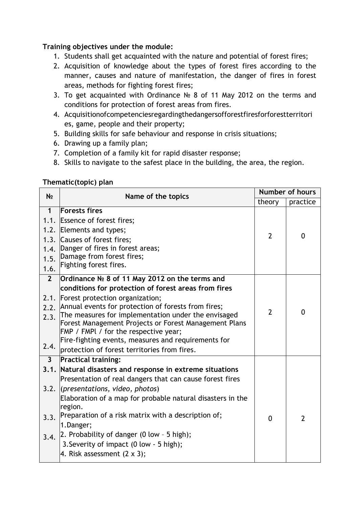# **Training objectives under the module:**

- 1. Students shall get acquainted with the nature and potential of forest fires;
- 2. Acquisition of knowledge about the types of forest fires according to the manner, causes and nature of manifestation, the danger of fires in forest areas, methods for fighting forest fires;
- 3. To get acquainted with Ordinance № 8 of 11 May 2012 on the terms and conditions for protection of forest areas from fires.
- 4. Acquisitionofcompetenciesregardingthedangersofforestfiresforforestterritori es, game, people and their property;
- 5. Building skills for safe behaviour and response in crisis situations;
- 6. Drawing up a family plan;
- 7. Completion of a family kit for rapid disaster response;
- 8. Skills to navigate to the safest place in the building, the area, the region.

# **Thematic(topic) plan**

| N <sub>2</sub>                      | Name of the topics                                                                                                                                                                                                                                                                                                                                                                                                                                                         | Number of hours    |                |
|-------------------------------------|----------------------------------------------------------------------------------------------------------------------------------------------------------------------------------------------------------------------------------------------------------------------------------------------------------------------------------------------------------------------------------------------------------------------------------------------------------------------------|--------------------|----------------|
|                                     |                                                                                                                                                                                                                                                                                                                                                                                                                                                                            | theory<br>practice |                |
| $\mathbf 1$<br>1.4.<br>1.5.<br>1.6. | <b>Forests fires</b><br>1.1. Essence of forest fires;<br>1.2. Elements and types;<br>1.3. Causes of forest fires;<br>Danger of fires in forest areas;<br>Damage from forest fires;<br>Fighting forest fires.                                                                                                                                                                                                                                                               | $\overline{2}$     | $\mathbf{0}$   |
| $\overline{2}$<br>2.3.<br>2.4.      | Ordinance Nº 8 of 11 May 2012 on the terms and<br>conditions for protection of forest areas from fires<br>2.1. Forest protection organization;<br>2.2. Annual events for protection of forests from fires;<br>The measures for implementation under the envisaged<br>Forest Management Projects or Forest Management Plans<br>FMP / FMPI / for the respective year;<br>Fire-fighting events, measures and requirements for<br>protection of forest territories from fires. | $\overline{2}$     | $\mathbf 0$    |
| 3 <sup>1</sup>                      | <b>Practical training:</b>                                                                                                                                                                                                                                                                                                                                                                                                                                                 |                    |                |
| 3.3.                                | 3.1. Natural disasters and response in extreme situations<br>Presentation of real dangers that can cause forest fires<br>3.2. (presentations, video, photos)<br>Elaboration of a map for probable natural disasters in the<br>region.<br>Preparation of a risk matrix with a description of;<br>1.Danger;<br>3.4. 2. Probability of danger (0 low - 5 high);<br>3. Severity of impact (0 low - 5 high);<br>4. Risk assessment $(2 \times 3)$ ;                             | $\Omega$           | $\overline{2}$ |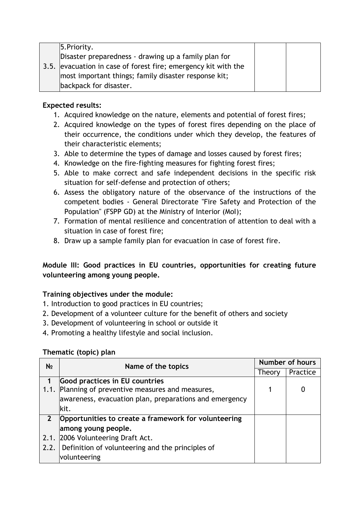|  | 5. Priority.                                                   |  |
|--|----------------------------------------------------------------|--|
|  | Disaster preparedness - drawing up a family plan for           |  |
|  | 3.5. evacuation in case of forest fire; emergency kit with the |  |
|  | most important things; family disaster response kit;           |  |
|  | backpack for disaster.                                         |  |

- 1. Acquired knowledge on the nature, elements and potential of forest fires;
- 2. Acquired knowledge on the types of forest fires depending on the place of their occurrence, the conditions under which they develop, the features of their characteristic elements;
- 3. Able to determine the types of damage and losses caused by forest fires;
- 4. Knowledge on the fire-fighting measures for fighting forest fires;
- 5. Able to make correct and safe independent decisions in the specific risk situation for self-defense and protection of others;
- 6. Assess the obligatory nature of the observance of the instructions of the competent bodies - General Directorate "Fire Safety and Protection of the Population" (FSPP GD) at the Ministry of Interior (MoI);
- 7. Formation of mental resilience and concentration of attention to deal with a situation in case of forest fire;
- 8. Draw up a sample family plan for evacuation in case of forest fire.

# **Module IIІ: Good practices in EU countries, opportunities for creating future volunteering among young people.**

# **Training objectives under the module:**

- 1. Introduction to good practices in EU countries;
- 2. Development of a volunteer culture for the benefit of others and society
- 3. Development of volunteering in school or outside it
- 4. Promoting a healthy lifestyle and social inclusion.

#### **Thematic (topic) plan**

| N <sub>2</sub> | Name of the topics                                     | <b>Number of hours</b> |          |
|----------------|--------------------------------------------------------|------------------------|----------|
|                |                                                        | Theory                 | Practice |
|                | <b>Good practices in EU countries</b>                  |                        |          |
| 1.1.           | Planning of preventive measures and measures,          |                        | O        |
|                | awareness, evacuation plan, preparations and emergency |                        |          |
|                | lkit.                                                  |                        |          |
|                | Opportunities to create a framework for volunteering   |                        |          |
|                | among young people.                                    |                        |          |
|                | 2.1. 2006 Volunteering Draft Act.                      |                        |          |
|                | 2.2. Definition of volunteering and the principles of  |                        |          |
|                | volunteering                                           |                        |          |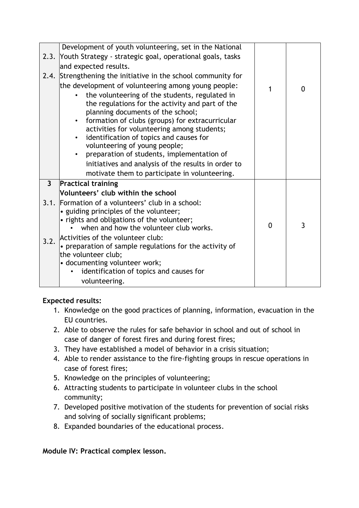|              | Development of youth volunteering, set in the National                                 |          |   |
|--------------|----------------------------------------------------------------------------------------|----------|---|
|              | 2.3. Youth Strategy - strategic goal, operational goals, tasks                         |          |   |
|              | and expected results.                                                                  |          |   |
|              | 2.4. Strengthening the initiative in the school community for                          |          |   |
|              | the development of volunteering among young people:                                    | 1        | 0 |
|              | the volunteering of the students, regulated in                                         |          |   |
|              | the regulations for the activity and part of the                                       |          |   |
|              | planning documents of the school;                                                      |          |   |
|              | formation of clubs (groups) for extracurricular                                        |          |   |
|              | activities for volunteering among students;<br>identification of topics and causes for |          |   |
|              | volunteering of young people;                                                          |          |   |
|              | preparation of students, implementation of                                             |          |   |
|              | initiatives and analysis of the results in order to                                    |          |   |
|              | motivate them to participate in volunteering.                                          |          |   |
| $\mathbf{3}$ | <b>Practical training</b>                                                              |          |   |
|              | Volunteers' club within the school                                                     |          |   |
|              | 3.1. Formation of a volunteers' club in a school:                                      |          |   |
|              | • guiding principles of the volunteer;                                                 |          |   |
|              | • rights and obligations of the volunteer;                                             |          |   |
|              | when and how the volunteer club works.                                                 | $\Omega$ | 3 |
| 3.2.         | Activities of the volunteer club:                                                      |          |   |
|              | • preparation of sample regulations for the activity of                                |          |   |
|              | the volunteer club;                                                                    |          |   |
|              | • documenting volunteer work;                                                          |          |   |
|              | identification of topics and causes for                                                |          |   |
|              | volunteering.                                                                          |          |   |

- 1. Knowledge on the good practices of planning, information, evacuation in the EU countries.
- 2. Able to observe the rules for safe behavior in school and out of school in case of danger of forest fires and during forest fires;
- 3. They have established a model of behavior in a crisis situation;
- 4. Able to render assistance to the fire-fighting groups in rescue operations in case of forest fires;
- 5. Knowledge on the principles of volunteering;
- 6. Attracting students to participate in volunteer clubs in the school community;
- 7. Developed positive motivation of the students for prevention of social risks and solving of socially significant problems;
- 8. Expanded boundaries of the educational process.

# **Module ІV: Practical complex lesson.**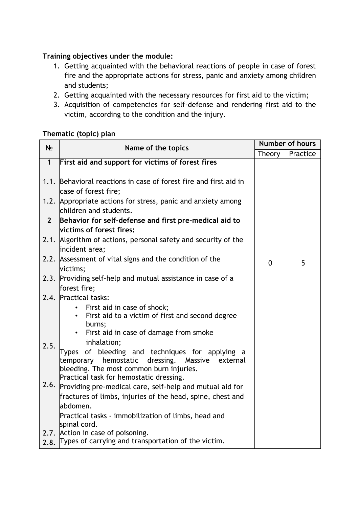# **Training objectives under the module:**

- 1. Getting acquainted with the behavioral reactions of people in case of forest fire and the appropriate actions for stress, panic and anxiety among children and students;
- 2. Getting acquainted with the necessary resources for first aid to the victim;
- 3. Acquisition of competencies for self-defense and rendering first aid to the victim, according to the condition and the injury.

# **Thematic (topic) plan**

| N <sub>2</sub> | Name of the topics                                                                                    | <b>Number of hours</b> |          |
|----------------|-------------------------------------------------------------------------------------------------------|------------------------|----------|
|                |                                                                                                       | Theory                 | Practice |
| $\mathbf{1}$   | First aid and support for victims of forest fires                                                     |                        |          |
|                | 1.1. Behavioral reactions in case of forest fire and first aid in<br>case of forest fire;             |                        |          |
|                | 1.2. Appropriate actions for stress, panic and anxiety among<br>children and students.                |                        |          |
| $2^{\circ}$    | Behavior for self-defense and first pre-medical aid to                                                |                        |          |
|                | victims of forest fires:                                                                              |                        |          |
|                | 2.1. Algorithm of actions, personal safety and security of the                                        |                        |          |
|                | incident area;                                                                                        |                        |          |
|                | 2.2. Assessment of vital signs and the condition of the                                               | $\mathbf{0}$           | 5        |
|                | victims;                                                                                              |                        |          |
|                | 2.3. Providing self-help and mutual assistance in case of a                                           |                        |          |
|                | forest fire;                                                                                          |                        |          |
|                | 2.4. Practical tasks:                                                                                 |                        |          |
|                | • First aid in case of shock;                                                                         |                        |          |
|                | First aid to a victim of first and second degree                                                      |                        |          |
|                | burns;                                                                                                |                        |          |
|                | First aid in case of damage from smoke                                                                |                        |          |
| 2.5.           | inhalation;                                                                                           |                        |          |
|                | Types of bleeding and techniques for applying a<br>temporary hemostatic dressing. Massive<br>external |                        |          |
|                | bleeding. The most common burn injuries.                                                              |                        |          |
|                | Practical task for hemostatic dressing.                                                               |                        |          |
|                | 2.6. Providing pre-medical care, self-help and mutual aid for                                         |                        |          |
|                | fractures of limbs, injuries of the head, spine, chest and                                            |                        |          |
|                | abdomen.                                                                                              |                        |          |
|                | Practical tasks - immobilization of limbs, head and                                                   |                        |          |
|                | spinal cord.                                                                                          |                        |          |
|                | 2.7. Action in case of poisoning.                                                                     |                        |          |
|                | 2.8. Types of carrying and transportation of the victim.                                              |                        |          |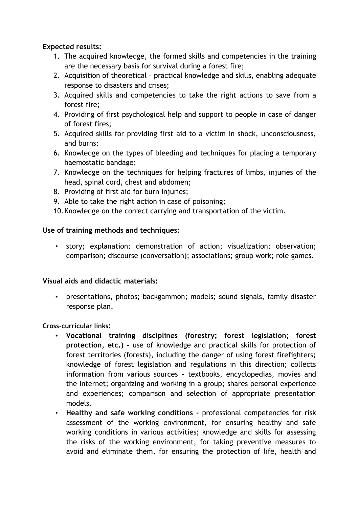- 1. The acquired knowledge, the formed skills and competencies in the training are the necessary basis for survival during a forest fire;
- 2. Acquisition of theoretical practical knowledge and skills, enabling adequate response to disasters and crises;
- 3. Acquired skills and competencies to take the right actions to save from a forest fire;
- 4. Providing of first psychological help and support to people in case of danger of forest fires;
- 5. Acquired skills for providing first aid to a victim in shock, unconsciousness, and burns;
- 6. Knowledge on the types of bleeding and techniques for placing a temporary haemostatic bandage;
- 7. Knowledge on the techniques for helping fractures of limbs, injuries of the head, spinal cord, chest and abdomen;
- 8. Providing of first aid for burn injuries;
- 9. Able to take the right action in case of poisoning;
- 10.Knowledge on the correct carrying and transportation of the victim.

# **Use of training methods and techniques:**

• story; explanation; demonstration of action; visualization; observation; comparison; discourse (conversation); associations; group work; role games.

# **Visual aids and didactic materials:**

• presentations, photos; backgammon; models; sound signals, family disaster response plan.

# **Cross-curricular links:**

- **Vocational training disciplines (forestry; forest legislation; forest protection, etc.) -** use of knowledge and practical skills for protection of forest territories (forests), including the danger of using forest firefighters; knowledge of forest legislation and regulations in this direction; collects information from various sources - textbooks, encyclopedias, movies and the Internet; organizing and working in a group; shares personal experience and experiences; comparison and selection of appropriate presentation models.
- **Healthy and safe working conditions -** professional competencies for risk assessment of the working environment, for ensuring healthy and safe working conditions in various activities; knowledge and skills for assessing the risks of the working environment, for taking preventive measures to avoid and eliminate them, for ensuring the protection of life, health and